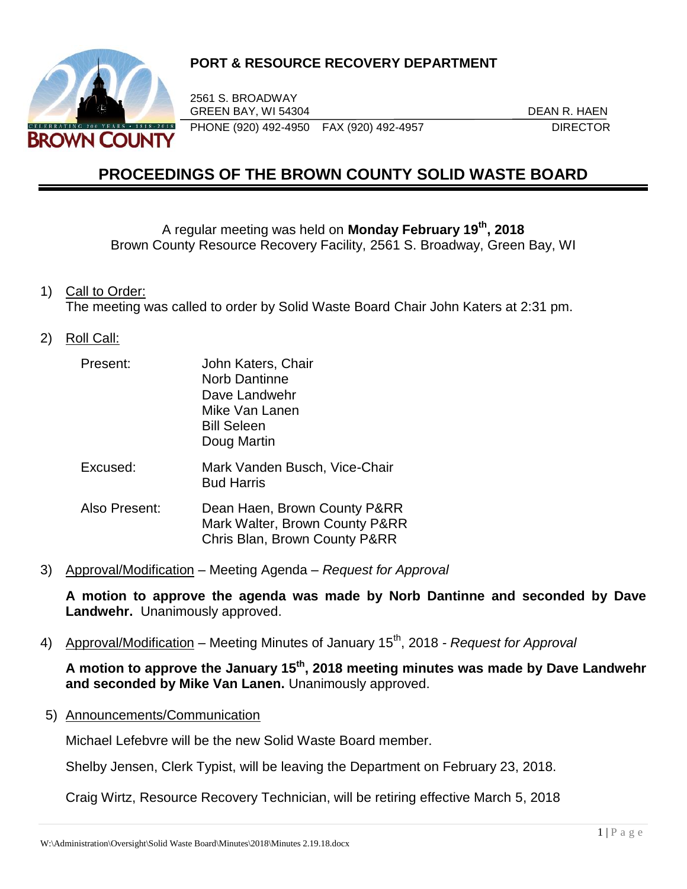

# **PORT & RESOURCE RECOVERY DEPARTMENT**

2561 S. BROADWAY GREEN BAY, WI 54304 DEAN R. HAEN PHONE (920) 492-4950 FAX (920) 492-4957 DIRECTOR

# **PROCEEDINGS OF THE BROWN COUNTY SOLID WASTE BOARD**

A regular meeting was held on **Monday February 19th , 2018** Brown County Resource Recovery Facility, 2561 S. Broadway, Green Bay, WI

1) Call to Order:

The meeting was called to order by Solid Waste Board Chair John Katers at 2:31 pm.

2) Roll Call:

| Present:      | John Katers, Chair<br><b>Norb Dantinne</b><br>Dave Landwehr<br>Mike Van Lanen<br><b>Bill Seleen</b><br>Doug Martin |
|---------------|--------------------------------------------------------------------------------------------------------------------|
| Excused:      | Mark Vanden Busch, Vice-Chair<br><b>Bud Harris</b>                                                                 |
| Also Present: | Dean Haen, Brown County P&RR<br>Mark Walter, Brown County P&RR<br>Chris Blan, Brown County P&RR                    |

3) Approval/Modification – Meeting Agenda – *Request for Approval*

**A motion to approve the agenda was made by Norb Dantinne and seconded by Dave Landwehr.** Unanimously approved.

4) Approval/Modification – Meeting Minutes of January 15th, 2018 *- Request for Approval*

**A motion to approve the January 15th, 2018 meeting minutes was made by Dave Landwehr and seconded by Mike Van Lanen.** Unanimously approved.

5) Announcements/Communication

Michael Lefebvre will be the new Solid Waste Board member.

Shelby Jensen, Clerk Typist, will be leaving the Department on February 23, 2018.

Craig Wirtz, Resource Recovery Technician, will be retiring effective March 5, 2018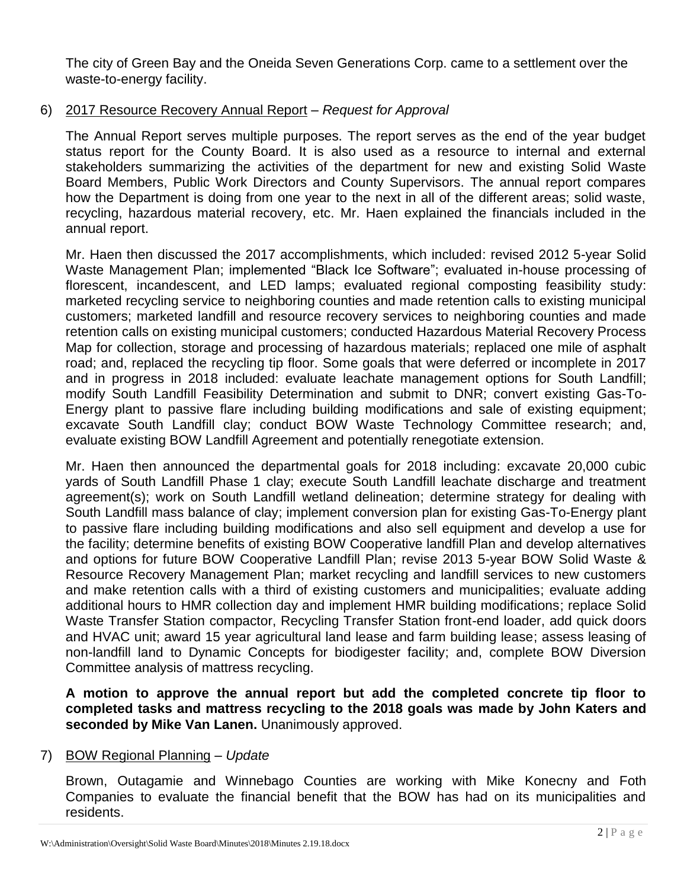The city of Green Bay and the Oneida Seven Generations Corp. came to a settlement over the waste-to-energy facility.

# 6) 2017 Resource Recovery Annual Report – *Request for Approval*

The Annual Report serves multiple purposes. The report serves as the end of the year budget status report for the County Board. It is also used as a resource to internal and external stakeholders summarizing the activities of the department for new and existing Solid Waste Board Members, Public Work Directors and County Supervisors. The annual report compares how the Department is doing from one year to the next in all of the different areas; solid waste, recycling, hazardous material recovery, etc. Mr. Haen explained the financials included in the annual report.

Mr. Haen then discussed the 2017 accomplishments, which included: revised 2012 5-year Solid Waste Management Plan; implemented "Black Ice Software"; evaluated in-house processing of florescent, incandescent, and LED lamps; evaluated regional composting feasibility study: marketed recycling service to neighboring counties and made retention calls to existing municipal customers; marketed landfill and resource recovery services to neighboring counties and made retention calls on existing municipal customers; conducted Hazardous Material Recovery Process Map for collection, storage and processing of hazardous materials; replaced one mile of asphalt road; and, replaced the recycling tip floor. Some goals that were deferred or incomplete in 2017 and in progress in 2018 included: evaluate leachate management options for South Landfill; modify South Landfill Feasibility Determination and submit to DNR; convert existing Gas-To-Energy plant to passive flare including building modifications and sale of existing equipment; excavate South Landfill clay; conduct BOW Waste Technology Committee research; and, evaluate existing BOW Landfill Agreement and potentially renegotiate extension.

Mr. Haen then announced the departmental goals for 2018 including: excavate 20,000 cubic yards of South Landfill Phase 1 clay; execute South Landfill leachate discharge and treatment agreement(s); work on South Landfill wetland delineation; determine strategy for dealing with South Landfill mass balance of clay; implement conversion plan for existing Gas-To-Energy plant to passive flare including building modifications and also sell equipment and develop a use for the facility; determine benefits of existing BOW Cooperative landfill Plan and develop alternatives and options for future BOW Cooperative Landfill Plan; revise 2013 5-year BOW Solid Waste & Resource Recovery Management Plan; market recycling and landfill services to new customers and make retention calls with a third of existing customers and municipalities; evaluate adding additional hours to HMR collection day and implement HMR building modifications; replace Solid Waste Transfer Station compactor, Recycling Transfer Station front-end loader, add quick doors and HVAC unit; award 15 year agricultural land lease and farm building lease; assess leasing of non-landfill land to Dynamic Concepts for biodigester facility; and, complete BOW Diversion Committee analysis of mattress recycling.

**A motion to approve the annual report but add the completed concrete tip floor to completed tasks and mattress recycling to the 2018 goals was made by John Katers and seconded by Mike Van Lanen.** Unanimously approved.

# 7) BOW Regional Planning – *Update*

Brown, Outagamie and Winnebago Counties are working with Mike Konecny and Foth Companies to evaluate the financial benefit that the BOW has had on its municipalities and residents.